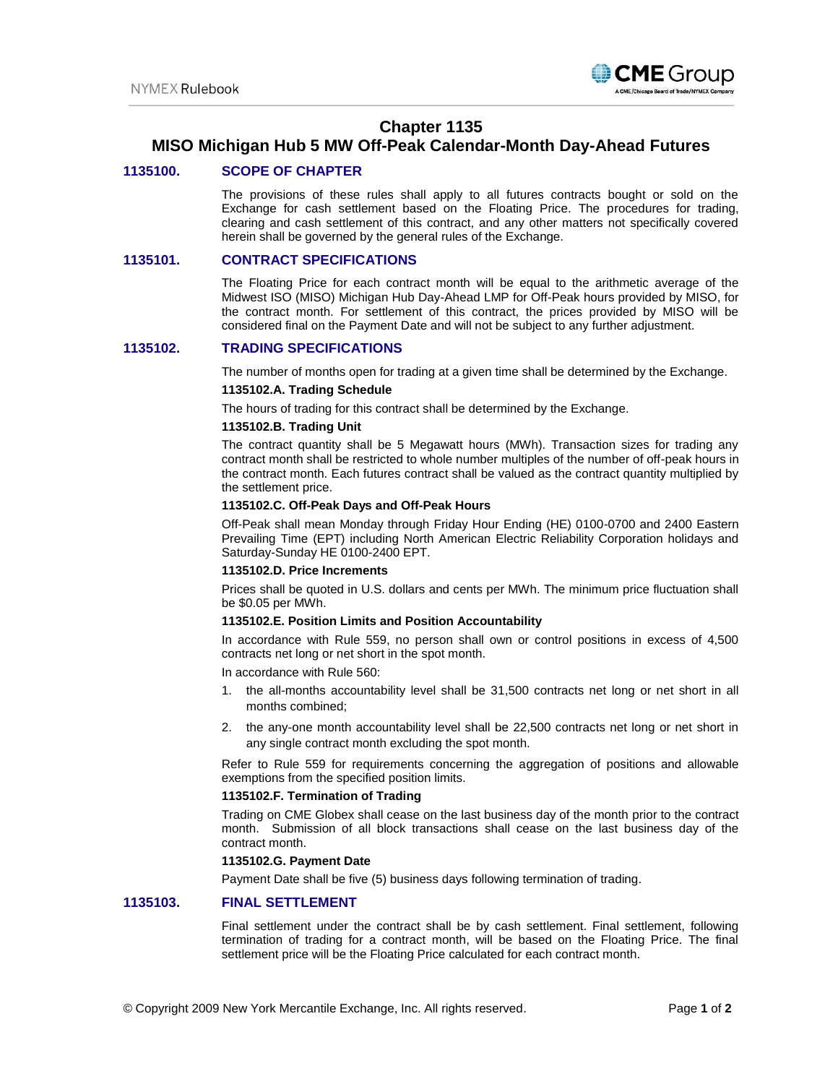

# **Chapter 1135**

# **MISO Michigan Hub 5 MW Off-Peak Calendar-Month Day-Ahead Futures**

## **1135100. SCOPE OF CHAPTER**

The provisions of these rules shall apply to all futures contracts bought or sold on the Exchange for cash settlement based on the Floating Price. The procedures for trading, clearing and cash settlement of this contract, and any other matters not specifically covered herein shall be governed by the general rules of the Exchange.

## **1135101. CONTRACT SPECIFICATIONS**

The Floating Price for each contract month will be equal to the arithmetic average of the Midwest ISO (MISO) Michigan Hub Day-Ahead LMP for Off-Peak hours provided by MISO, for the contract month. For settlement of this contract, the prices provided by MISO will be considered final on the Payment Date and will not be subject to any further adjustment.

## **1135102. TRADING SPECIFICATIONS**

The number of months open for trading at a given time shall be determined by the Exchange.

## **1135102.A. Trading Schedule**

The hours of trading for this contract shall be determined by the Exchange.

## **1135102.B. Trading Unit**

The contract quantity shall be 5 Megawatt hours (MWh). Transaction sizes for trading any contract month shall be restricted to whole number multiples of the number of off-peak hours in the contract month. Each futures contract shall be valued as the contract quantity multiplied by the settlement price.

#### **1135102.C. Off-Peak Days and Off-Peak Hours**

Off-Peak shall mean Monday through Friday Hour Ending (HE) 0100-0700 and 2400 Eastern Prevailing Time (EPT) including North American Electric Reliability Corporation holidays and Saturday-Sunday HE 0100-2400 EPT.

#### **1135102.D. Price Increments**

Prices shall be quoted in U.S. dollars and cents per MWh. The minimum price fluctuation shall be \$0.05 per MWh.

## **1135102.E. Position Limits and Position Accountability**

In accordance with Rule 559, no person shall own or control positions in excess of 4,500 contracts net long or net short in the spot month.

In accordance with Rule 560:

- 1. the all-months accountability level shall be 31,500 contracts net long or net short in all months combined;
- 2. the any-one month accountability level shall be 22,500 contracts net long or net short in any single contract month excluding the spot month.

Refer to Rule 559 for requirements concerning the aggregation of positions and allowable exemptions from the specified position limits.

#### **1135102.F. Termination of Trading**

Trading on CME Globex shall cease on the last business day of the month prior to the contract month. Submission of all block transactions shall cease on the last business day of the contract month.

## **1135102.G. Payment Date**

Payment Date shall be five (5) business days following termination of trading.

## **1135103. FINAL SETTLEMENT**

Final settlement under the contract shall be by cash settlement. Final settlement, following termination of trading for a contract month, will be based on the Floating Price. The final settlement price will be the Floating Price calculated for each contract month.